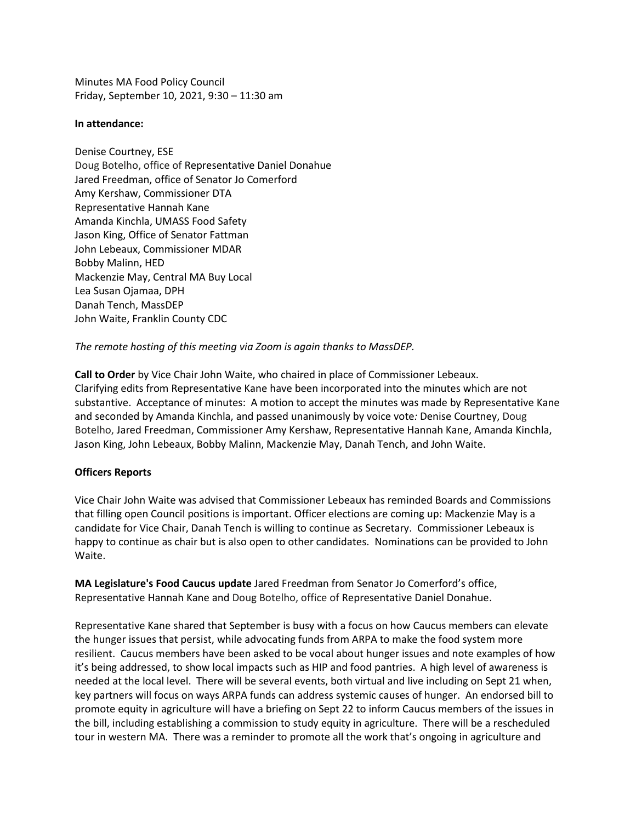Minutes MA Food Policy Council Friday, September 10, 2021, 9:30 – 11:30 am

### **In attendance:**

Denise Courtney, ESE Doug Botelho, office of Representative Daniel Donahue Jared Freedman, office of Senator Jo Comerford Amy Kershaw, Commissioner DTA Representative Hannah Kane Amanda Kinchla, UMASS Food Safety Jason King, Office of Senator Fattman John Lebeaux, Commissioner MDAR Bobby Malinn, HED Mackenzie May, Central MA Buy Local Lea Susan Ojamaa, DPH Danah Tench, MassDEP John Waite, Franklin County CDC

## *The remote hosting of this meeting via Zoom is again thanks to MassDEP.*

**Call to Order** by Vice Chair John Waite, who chaired in place of Commissioner Lebeaux. Clarifying edits from Representative Kane have been incorporated into the minutes which are not substantive. Acceptance of minutes: A motion to accept the minutes was made by Representative Kane and seconded by Amanda Kinchla, and passed unanimously by voice vote*:* Denise Courtney, Doug Botelho, Jared Freedman, Commissioner Amy Kershaw, Representative Hannah Kane, Amanda Kinchla, Jason King, John Lebeaux, Bobby Malinn, Mackenzie May, Danah Tench, and John Waite.

# **Officers Reports**

Vice Chair John Waite was advised that Commissioner Lebeaux has reminded Boards and Commissions that filling open Council positions is important. Officer elections are coming up: Mackenzie May is a candidate for Vice Chair, Danah Tench is willing to continue as Secretary. Commissioner Lebeaux is happy to continue as chair but is also open to other candidates. Nominations can be provided to John Waite.

**MA Legislature's Food Caucus update** Jared Freedman from Senator Jo Comerford's office, Representative Hannah Kane and Doug Botelho, office of Representative Daniel Donahue.

Representative Kane shared that September is busy with a focus on how Caucus members can elevate the hunger issues that persist, while advocating funds from ARPA to make the food system more resilient. Caucus members have been asked to be vocal about hunger issues and note examples of how it's being addressed, to show local impacts such as HIP and food pantries. A high level of awareness is needed at the local level. There will be several events, both virtual and live including on Sept 21 when, key partners will focus on ways ARPA funds can address systemic causes of hunger. An endorsed bill to promote equity in agriculture will have a briefing on Sept 22 to inform Caucus members of the issues in the bill, including establishing a commission to study equity in agriculture. There will be a rescheduled tour in western MA. There was a reminder to promote all the work that's ongoing in agriculture and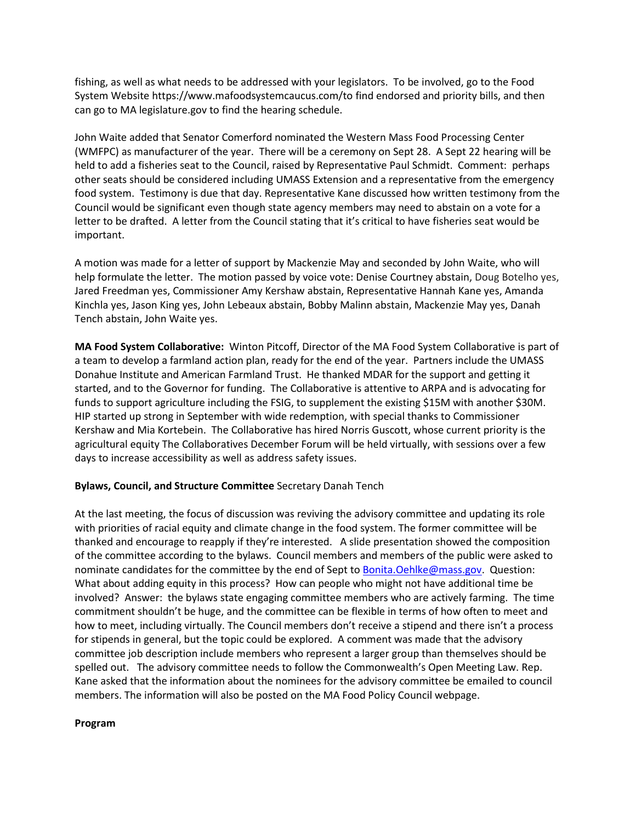fishing, as well as what needs to be addressed with your legislators. To be involved, go to the Food System Website https://www.mafoodsystemcaucus.com/to find endorsed and priority bills, and then can go to MA legislature.gov to find the hearing schedule.

John Waite added that Senator Comerford nominated the Western Mass Food Processing Center (WMFPC) as manufacturer of the year. There will be a ceremony on Sept 28. A Sept 22 hearing will be held to add a fisheries seat to the Council, raised by Representative Paul Schmidt. Comment: perhaps other seats should be considered including UMASS Extension and a representative from the emergency food system. Testimony is due that day. Representative Kane discussed how written testimony from the Council would be significant even though state agency members may need to abstain on a vote for a letter to be drafted. A letter from the Council stating that it's critical to have fisheries seat would be important.

A motion was made for a letter of support by Mackenzie May and seconded by John Waite, who will help formulate the letter. The motion passed by voice vote: Denise Courtney abstain, Doug Botelho yes, Jared Freedman yes, Commissioner Amy Kershaw abstain, Representative Hannah Kane yes, Amanda Kinchla yes, Jason King yes, John Lebeaux abstain, Bobby Malinn abstain, Mackenzie May yes, Danah Tench abstain, John Waite yes.

**MA Food System Collaborative:** Winton Pitcoff, Director of the MA Food System Collaborative is part of a team to develop a farmland action plan, ready for the end of the year. Partners include the UMASS Donahue Institute and American Farmland Trust. He thanked MDAR for the support and getting it started, and to the Governor for funding. The Collaborative is attentive to ARPA and is advocating for funds to support agriculture including the FSIG, to supplement the existing \$15M with another \$30M. HIP started up strong in September with wide redemption, with special thanks to Commissioner Kershaw and Mia Kortebein. The Collaborative has hired Norris Guscott, whose current priority is the agricultural equity The Collaboratives December Forum will be held virtually, with sessions over a few days to increase accessibility as well as address safety issues.

# **Bylaws, Council, and Structure Committee** Secretary Danah Tench

At the last meeting, the focus of discussion was reviving the advisory committee and updating its role with priorities of racial equity and climate change in the food system. The former committee will be thanked and encourage to reapply if they're interested. A slide presentation showed the composition of the committee according to the bylaws. Council members and members of the public were asked to nominate candidates for the committee by the end of Sept to [Bonita.Oehlke@mass.gov.](mailto:Bonita.Oehlke@mass.gov) Question: What about adding equity in this process? How can people who might not have additional time be involved? Answer: the bylaws state engaging committee members who are actively farming. The time commitment shouldn't be huge, and the committee can be flexible in terms of how often to meet and how to meet, including virtually. The Council members don't receive a stipend and there isn't a process for stipends in general, but the topic could be explored. A comment was made that the advisory committee job description include members who represent a larger group than themselves should be spelled out. The advisory committee needs to follow the Commonwealth's Open Meeting Law. Rep. Kane asked that the information about the nominees for the advisory committee be emailed to council members. The information will also be posted on the MA Food Policy Council webpage.

### **Program**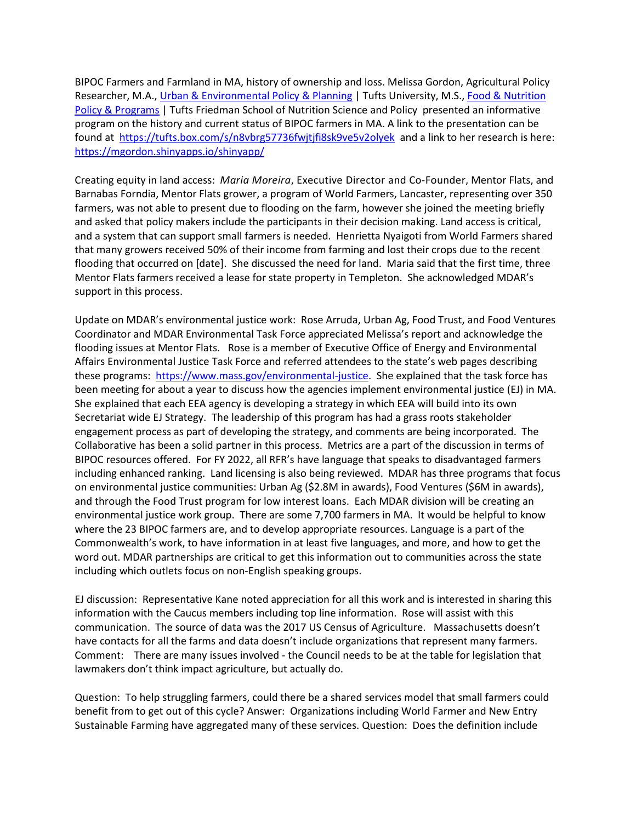BIPOC Farmers and Farmland in MA, history of ownership and loss. Melissa Gordon, Agricultural Policy Researcher, M.A., Urban & [Environmental](https://urldefense.com/v3/__http:/as.tufts.edu/uep/__;!!CUhgQOZqV7M!zZdyXWdXHwiLBtTnO_Fkev2VRuCA_V3D5_ZJkChnC67nnS7gOp6DWCHLtuvDz-oQG_Qw9A$) Policy & Planning | Tufts University, M.S., Food & [Nutrition](https://urldefense.com/v3/__https:/nutrition.tufts.edu/academics/degree-programs/food-nutrition-policy-programs__;!!CUhgQOZqV7M!zZdyXWdXHwiLBtTnO_Fkev2VRuCA_V3D5_ZJkChnC67nnS7gOp6DWCHLtuvDz-qmVoF28Q$) Policy & [Programs](https://urldefense.com/v3/__https:/nutrition.tufts.edu/academics/degree-programs/food-nutrition-policy-programs__;!!CUhgQOZqV7M!zZdyXWdXHwiLBtTnO_Fkev2VRuCA_V3D5_ZJkChnC67nnS7gOp6DWCHLtuvDz-qmVoF28Q$) | Tufts Friedman School of Nutrition Science and Policy presented an informative program on the history and current status of BIPOC farmers in MA. A link to the presentation can be found at [https://tufts.box.com/s/n8vbrg57736fwjtjfi8sk9ve5v2olyek](https://urldefense.com/v3/__https:/tufts.box.com/s/n8vbrg57736fwjtjfi8sk9ve5v2olyek__;!!CUhgQOZqV7M!3r8celOB56GvTSD_PZy34LpsEwuoxNc5q1iHBYVWIAu9vmBv3pJ68i_scaBhBql93OY6$) and a link to her research is here: <https://mgordon.shinyapps.io/shinyapp/>

Creating equity in land access: *Maria Moreira*, Executive Director and Co-Founder, Mentor Flats, and Barnabas Forndia, Mentor Flats grower, a program of World Farmers, Lancaster, representing over 350 farmers, was not able to present due to flooding on the farm, however she joined the meeting briefly and asked that policy makers include the participants in their decision making. Land access is critical, and a system that can support small farmers is needed. Henrietta Nyaigoti from World Farmers shared that many growers received 50% of their income from farming and lost their crops due to the recent flooding that occurred on [date]. She discussed the need for land. Maria said that the first time, three Mentor Flats farmers received a lease for state property in Templeton. She acknowledged MDAR's support in this process.

Update on MDAR's environmental justice work: Rose Arruda, Urban Ag, Food Trust, and Food Ventures Coordinator and MDAR Environmental Task Force appreciated Melissa's report and acknowledge the flooding issues at Mentor Flats. Rose is a member of Executive Office of Energy and Environmental Affairs Environmental Justice Task Force and referred attendees to the state's web pages describing these programs: [https://www.mass.gov/environmental-justice.](https://www.mass.gov/environmental-justice) She explained that the task force has been meeting for about a year to discuss how the agencies implement environmental justice (EJ) in MA. She explained that each EEA agency is developing a strategy in which EEA will build into its own Secretariat wide EJ Strategy. The leadership of this program has had a grass roots stakeholder engagement process as part of developing the strategy, and comments are being incorporated. The Collaborative has been a solid partner in this process. Metrics are a part of the discussion in terms of BIPOC resources offered. For FY 2022, all RFR's have language that speaks to disadvantaged farmers including enhanced ranking. Land licensing is also being reviewed. MDAR has three programs that focus on environmental justice communities: Urban Ag (\$2.8M in awards), Food Ventures (\$6M in awards), and through the Food Trust program for low interest loans. Each MDAR division will be creating an environmental justice work group. There are some 7,700 farmers in MA. It would be helpful to know where the 23 BIPOC farmers are, and to develop appropriate resources. Language is a part of the Commonwealth's work, to have information in at least five languages, and more, and how to get the word out. MDAR partnerships are critical to get this information out to communities across the state including which outlets focus on non-English speaking groups.

EJ discussion: Representative Kane noted appreciation for all this work and is interested in sharing this information with the Caucus members including top line information. Rose will assist with this communication. The source of data was the 2017 US Census of Agriculture. Massachusetts doesn't have contacts for all the farms and data doesn't include organizations that represent many farmers. Comment: There are many issues involved - the Council needs to be at the table for legislation that lawmakers don't think impact agriculture, but actually do.

Question: To help struggling farmers, could there be a shared services model that small farmers could benefit from to get out of this cycle? Answer: Organizations including World Farmer and New Entry Sustainable Farming have aggregated many of these services. Question: Does the definition include